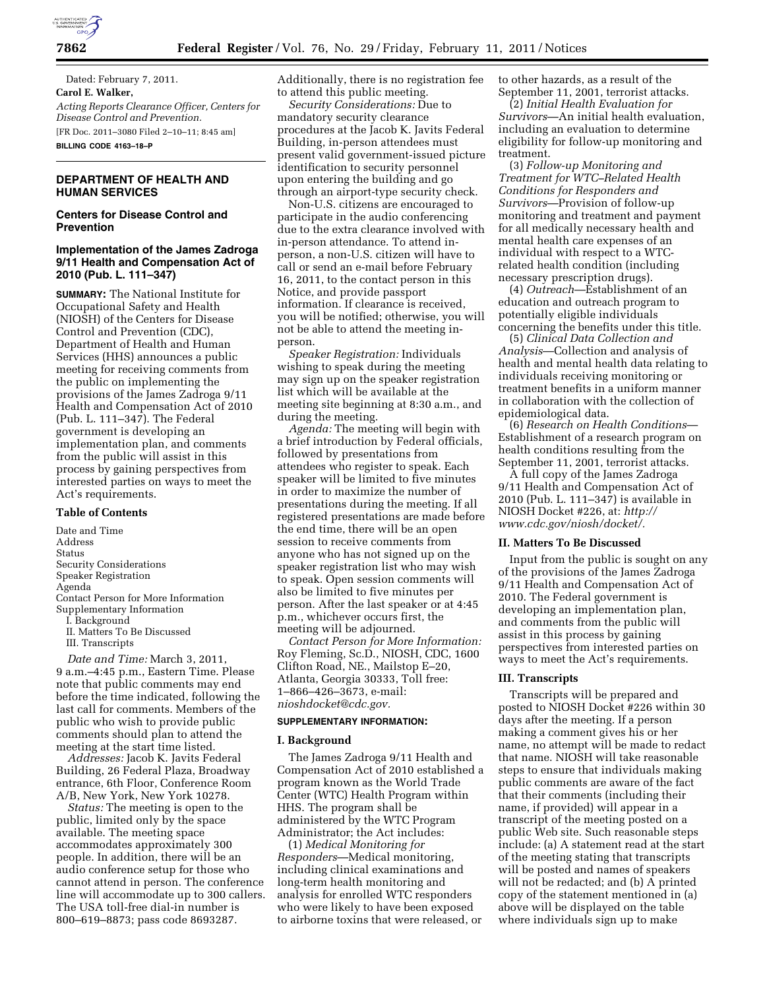

Dated: February 7, 2011. **Carol E. Walker,**  *Acting Reports Clearance Officer, Centers for Disease Control and Prevention.*  [FR Doc. 2011–3080 Filed 2–10–11; 8:45 am] **BILLING CODE 4163–18–P** 

# **DEPARTMENT OF HEALTH AND HUMAN SERVICES**

# **Centers for Disease Control and Prevention**

## **Implementation of the James Zadroga 9/11 Health and Compensation Act of 2010 (Pub. L. 111–347)**

**SUMMARY:** The National Institute for Occupational Safety and Health (NIOSH) of the Centers for Disease Control and Prevention (CDC), Department of Health and Human Services (HHS) announces a public meeting for receiving comments from the public on implementing the provisions of the James Zadroga 9/11 Health and Compensation Act of 2010 (Pub. L. 111–347). The Federal government is developing an implementation plan, and comments from the public will assist in this process by gaining perspectives from interested parties on ways to meet the Act's requirements.

#### **Table of Contents**

Date and Time Address Status Security Considerations Speaker Registration Agenda Contact Person for More Information Supplementary Information I. Background II. Matters To Be Discussed III. Transcripts

*Date and Time:* March 3, 2011, 9 a.m.–4:45 p.m., Eastern Time. Please note that public comments may end before the time indicated, following the last call for comments. Members of the public who wish to provide public comments should plan to attend the meeting at the start time listed.

*Addresses:* Jacob K. Javits Federal Building, 26 Federal Plaza, Broadway entrance, 6th Floor, Conference Room A/B, New York, New York 10278.

*Status:* The meeting is open to the public, limited only by the space available. The meeting space accommodates approximately 300 people. In addition, there will be an audio conference setup for those who cannot attend in person. The conference line will accommodate up to 300 callers. The USA toll-free dial-in number is 800–619–8873; pass code 8693287.

Additionally, there is no registration fee to attend this public meeting.

*Security Considerations:* Due to mandatory security clearance procedures at the Jacob K. Javits Federal Building, in-person attendees must present valid government-issued picture identification to security personnel upon entering the building and go through an airport-type security check.

Non-U.S. citizens are encouraged to participate in the audio conferencing due to the extra clearance involved with in-person attendance. To attend inperson, a non-U.S. citizen will have to call or send an e-mail before February 16, 2011, to the contact person in this Notice, and provide passport information. If clearance is received, you will be notified; otherwise, you will not be able to attend the meeting inperson.

*Speaker Registration:* Individuals wishing to speak during the meeting may sign up on the speaker registration list which will be available at the meeting site beginning at 8:30 a.m., and during the meeting.

*Agenda:* The meeting will begin with a brief introduction by Federal officials, followed by presentations from attendees who register to speak. Each speaker will be limited to five minutes in order to maximize the number of presentations during the meeting. If all registered presentations are made before the end time, there will be an open session to receive comments from anyone who has not signed up on the speaker registration list who may wish to speak. Open session comments will also be limited to five minutes per person. After the last speaker or at 4:45 p.m., whichever occurs first, the meeting will be adjourned.

*Contact Person for More Information:*  Roy Fleming, Sc.D., NIOSH, CDC, 1600 Clifton Road, NE., Mailstop E–20, Atlanta, Georgia 30333, Toll free: 1–866–426–3673, e-mail: *[nioshdocket@cdc.gov.](mailto:nioshdocket@cdc.gov)* 

### **SUPPLEMENTARY INFORMATION:**

#### **I. Background**

The James Zadroga 9/11 Health and Compensation Act of 2010 established a program known as the World Trade Center (WTC) Health Program within HHS. The program shall be administered by the WTC Program Administrator; the Act includes:

(1) *Medical Monitoring for Responders*—Medical monitoring, including clinical examinations and long-term health monitoring and analysis for enrolled WTC responders who were likely to have been exposed to airborne toxins that were released, or to other hazards, as a result of the September 11, 2001, terrorist attacks.

(2) *Initial Health Evaluation for Survivors*—An initial health evaluation, including an evaluation to determine eligibility for follow-up monitoring and treatment.

(3) *Follow-up Monitoring and Treatment for WTC–Related Health Conditions for Responders and Survivors*—Provision of follow-up monitoring and treatment and payment for all medically necessary health and mental health care expenses of an individual with respect to a WTCrelated health condition (including necessary prescription drugs).

(4) *Outreach*—Establishment of an education and outreach program to potentially eligible individuals concerning the benefits under this title.

(5) *Clinical Data Collection and Analysis*—Collection and analysis of health and mental health data relating to individuals receiving monitoring or treatment benefits in a uniform manner in collaboration with the collection of epidemiological data.

(6) *Research on Health Conditions*— Establishment of a research program on health conditions resulting from the September 11, 2001, terrorist attacks.

A full copy of the James Zadroga 9/11 Health and Compensation Act of 2010 (Pub. L. 111-347) is available in NIOSH Docket #226, at: *[http://](http://www.cdc.gov/niosh/docket/)  [www.cdc.gov/niosh/docket/.](http://www.cdc.gov/niosh/docket/)* 

### **II. Matters To Be Discussed**

Input from the public is sought on any of the provisions of the James Zadroga 9/11 Health and Compensation Act of 2010. The Federal government is developing an implementation plan, and comments from the public will assist in this process by gaining perspectives from interested parties on ways to meet the Act's requirements.

### **III. Transcripts**

Transcripts will be prepared and posted to NIOSH Docket #226 within 30 days after the meeting. If a person making a comment gives his or her name, no attempt will be made to redact that name. NIOSH will take reasonable steps to ensure that individuals making public comments are aware of the fact that their comments (including their name, if provided) will appear in a transcript of the meeting posted on a public Web site. Such reasonable steps include: (a) A statement read at the start of the meeting stating that transcripts will be posted and names of speakers will not be redacted; and (b) A printed copy of the statement mentioned in (a) above will be displayed on the table where individuals sign up to make